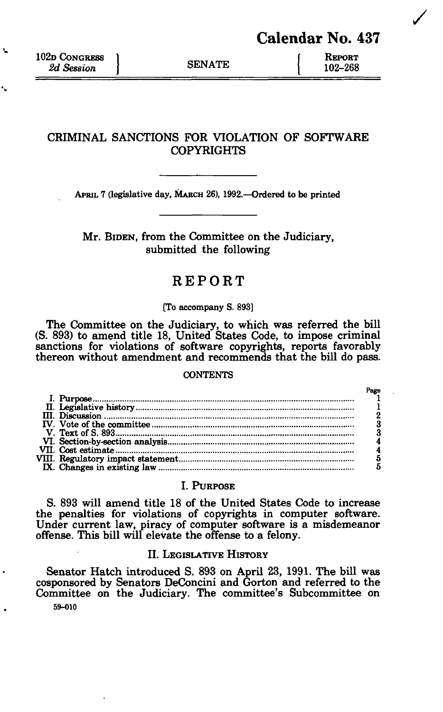102D CONGRESS 2d Session SENATE  $\begin{array}{c} \text{REPORT} \\ 2d$  Session 2d Session J<br>
<u>2d Session</u> J<br>
2d Session J<br>
2d Session J<br>
2d Session J<br>
2d Session J<br>
2d Session J<br>
2d Session J<br>
3d Taraxin J<br>
3d Taraxin J<br>
3d Taraxin J<br>
3d Taraxin J<br>
3d Taraxin J<br>
3d Taraxin J<br>
3d Taraxin J<br>
3d Taraxin

 $\mathbf{L}$ 

# **CRIMINAL SANCTIONS FOR VIOLATION OF SOFTWARE COPYRIGHTS**

APRIL 7 (legislative day, MARCH 26), 1992.—Ordered to be printed

Mr. BIDEN, from the Committee on the Judiciary, submitted the following

# REPORT

#### [To accompany S. 893]

The Committee on the Judiciary, to which was referred the bill (S. 893) to amend title 18, United States Code, to impose criminal sanctions for violations of software copyrights, reports favorably thereon without amendment and recommends that the bill do pass.

#### **CONTENTS**

# I. PURPOSE

S. 893 will amend title 18 of the United States Code to increase the penalties for violations of copyrights in computer software. Under current law, piracy of computer software is a misdemeanor offense. This bill will elevate the offense to a felony.

# II. LEGISLATIVE HISTORY

Senator Hatch introduced S. 893 on April 23, 1991. The bill was cosponsored by Senators DeConcini and Gorton and referred to the Committee on the Judiciary. The committee's Subcommittee on 59-010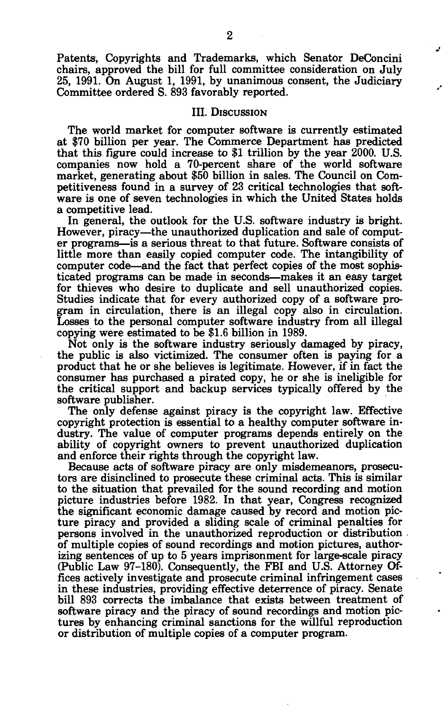Patents, Copyrights and Trademarks, which Senator DeConcini chairs, approved the bill for full committee consideration on July 25, 1991. On August 1, 1991, by unanimous consent, the Judiciary Committee ordered S. 893 favorably reported.

#### III. DISCUSSION

The world market for computer software is currently estimated at \$70 billion per year. The Commerce Department has predicted that this figure could increase to \$1 trillion by the year 2000. U.S. companies now hold a 70-percent share of the world software market, generating about \$50 billion in sales. The Council on Competitiveness found in a survey of 23 critical technologies that software is one of seven technologies in which the United States holds a competitive lead.

In general, the outlook for the U.S. software industry is bright. However, piracy—the unauthorized duplication and sale of computer programs—is a serious threat to that future. Software consists of little more than easily copied computer code. The intangibility of computer code—and the fact that perfect copies of the most sophisticated programs can be made in seconds—makes it an easy target for thieves who desire to duplicate and sell unauthorized copies. Studies indicate that for every authorized copy of a software program in circulation, there is an illegal copy also in circulation. Losses to the personal computer software industry from all illegal copying were estimated to be \$1.6 billion in 1989.

Not only is the software industry seriously damaged by piracy, the public is also victimized. The consumer often is paying for a product that he or she believes is legitimate. However, if in fact the consumer has purchased a pirated copy, he or she is ineligible for the critical support and backup services typically offered by the software publisher.

The only defense against piracy is the copyright law. Effective copyright protection is essential to a healthy computer software industry. The value of computer programs depends entirely on the ability of copyright owners to prevent unauthorized duplication and enforce their rights through the copyright law.

Because acts of software piracy are only misdemeanors, prosecutors are disinclined to prosecute these criminal acts. This is similar to the situation that prevailed for the sound recording and motion picture industries before 1982. In that year, Congress recognized the significant economic damage caused by record and motion picture piracy and provided a sliding scale of criminal penalties for persons involved in the unauthorized reproduction or distribution of multiple copies of sound recordings and motion pictures, authorizing sentences of up to 5 years imprisonment for large-scale piracy (Public Law 97-180). Consequently, the FBI and U.S. Attorney Offices actively investigate and prosecute criminal infringement cases in these industries, providing effective deterrence of piracy. Senate bill 893 corrects the imbalance that exists between treatment of software piracy and the piracy of sound recordings and motion pictures by enhancing criminal sanctions for the willful reproduction or distribution of multiple copies of a computer program.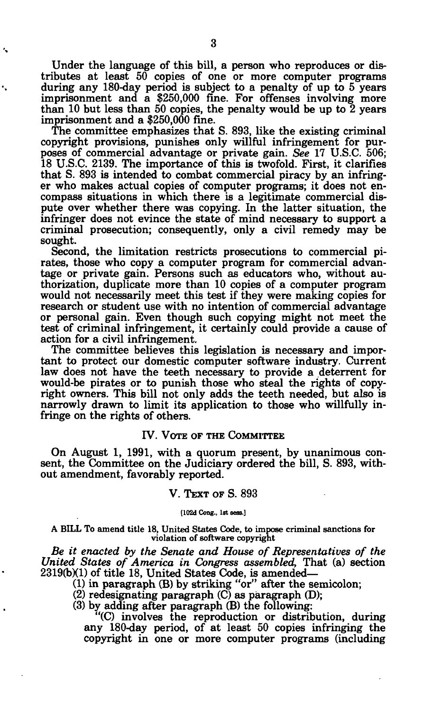Under the language of this bill, a person who reproduces or distributes at least 50 copies of one or more computer programs during any 180-day period is subject to a penalty of up to 5 years imprisonment and a \$250,000 fine. For offenses involving more than 10 but less than 50 copies, the penalty would be up to  $\tilde{2}$  years imprisonment and a \$250,000 fine.

The committee emphasizes that S. 893, like the existing criminal copyright provisions, punishes only willful infringement for purposes of commercial advantage or private gain. *See* 17 U.S.C. 506; 18 U.S.C. 2139. The importance of this is twofold. First, it clarifies that S. 893 is intended to combat commercial piracy by an infringer who makes actual copies of computer programs; it does not encompass situations in which there is a legitimate commercial dispute over whether there was copying. In the latter situation, the infringer does not evince the state of mind necessary to support a criminal prosecution; consequently, only a civil remedy may be sought.

Second, the limitation restricts prosecutions to commercial pirates, those who copy a computer program for commercial advantage or private gain. Persons such as educators who, without authorization, duplicate more than 10 copies of a computer program would not necessarily meet this test if they were making copies for research or student use with no intention of commercial advantage or personal gain. Even though such copying might not meet the test of criminal infringement, it certainly could provide a cause of action for a civil infringement.

The committee believes this legislation is necessary and important to protect our domestic computer software industry. Current law does not have the teeth necessary to provide a deterrent for would-be pirates or to punish those who steal the rights of copyright owners. This bill not only adds the teeth needed, but also is narrowly drawn to limit its application to those who willfully infringe on the rights of others.

#### IV. VOTE OF THE COMMITTEE

On August 1, 1991, with a quorum present, by unanimous consent, the Committee on the Judiciary ordered the bill, S. 893, without amendment, favorably reported.

#### V. TEXT OF S. 893

**[102d Cong., 1st sera.]** 

**A BILL To amend title 18, United States Code, to impose criminal sanctions for violation of software copyright** 

*Be it enacted by the Senate and House of Representatives of the United States of America in Congress assembled,* That (a) section  $2319(b)(1)$  of title 18, United States Code, is amended—

(1) in paragraph (B) by striking "or" after the semicolon;

(2) redesignating paragraph (C) as paragraph (D);

(3) by adding after paragraph (B) the following:

"(C) involves the reproduction or distribution, during any 180-day period, of at least 50 copies infringing the copyright in one or more computer programs (including

۰,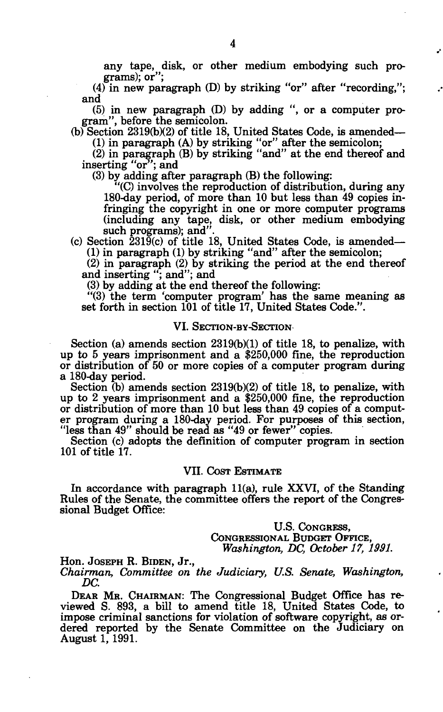any tape, disk, or other medium embodying such programs); or";

(4) in new paragraph (D) by striking "or" after "recording,"; and

(5) in new paragraph (D) by adding ", or a computer program", before the semicolon.

(b) Section 2319(b)(2) of title 18, United States Code, is amended— (1) in paragraph (A) by striking "or" after the semicolon;

(2) in paragraph (B) by striking "and" at the end thereof and inserting "or"; and

(3) by adding after paragraph (B) the following:

"(C) involves the reproduction of distribution, during any 180-day period, of more than 10 but less than 49 copies infringing the copyright in one or more computer programs (including any tape, disk, or other medium embodying such programs); and".

 $(c)$  Section  $\frac{2319(c)}{c}$  of title 18, United States Code, is amended— (1) in paragraph (1) by striking "and" after the semicolon;

(2) in paragraph (2) by striking the period at the end thereof and inserting "; and"; and

(3) by adding at the end thereof the following:

"(3) the term 'computer program' has the same meaning as set forth in section 101 of title 17, United States Code.".

#### VI. SECTION-BY-SECTION

Section (a) amends section 2319(b)(1) of title 18, to penalize, with up to 5 years imprisonment and a \$250,000 fine, the reproduction or distribution of 50 or more copies of a computer program during a 180-day period.

Section (b) amends section 2319(b)(2) of title 18, to penalize, with up to 2 years imprisonment and a \$250,000 fine, the reproduction or distribution of more than 10 but less than 49 copies of a computer program during a 180-day period. For purposes of this section, "less than 49" should be read as "49 or fewer" copies.

Section (c) adopts the definition of computer program in section 101 of title 17.

#### VII. COST ESTIMATE

In accordance with paragraph 11(a), rule XXVI, of the Standing Rules of the Senate, the committee offers the report of the Congressional Budget Office:

> U.S. CONGRESS, CONGRESSIONAL BUDGET OFFICE, *Washington, DC, October 17, 1991.*

Hon. JOSEPH R. BIDEN, Jr.,

*Chairman, Committee on the Judiciary, U.S. Senate, Washington, DC.* 

DEAR MR. CHAIRMAN: The Congressional Budget Office has reviewed S. 893, a bill to amend title 18, United States Code, to impose criminal sanctions for violation of software copyright, as ordered reported by the Senate Committee on the Judiciary on August 1, 1991.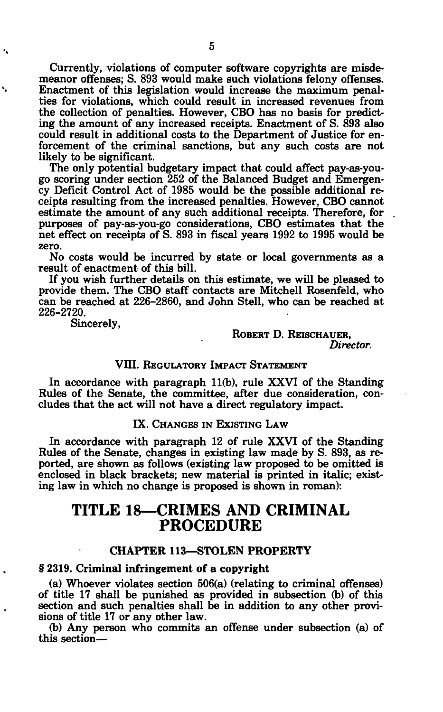Currently, violations of computer software copyrights are misdemeanor offenses; S. 893 would make such violations felony offenses. Enactment of this legislation would increase the maximum penalties for violations, which could result in increased revenues from the collection of penalties. However, CBO has no basis for predicting the amount of any increased receipts. Enactment of S. 893 also could result in additional costs to the Department of Justice for enforcement of the criminal sanctions, but any such costs are not likely to be significant.

The only potential budgetary impact that could affect pay-as-yougo scoring under section 252 of the Balanced Budget and Emergency Deficit Control Act of 1985 would be the possible additional receipts resulting from the increased penalties. However, CBO cannot estimate the amount of any such additional receipts. Therefore, for purposes of pay-as-you-go considerations, CBO estimates that the net effect on receipts of S. 893 in fiscal years 1992 to 1995 would be zero.

No costs would be incurred by state or local governments as a result of enactment of this bill.

If you wish further details on this estimate, we will be pleased to provide them. The CBO staff contacts are Mitchell Rosenfeld, who can be reached at 226-2860, and John Stell, who can be reached at 226-2720.

Sincerely,

 $\ddot{\phantom{0}}$ 

ROBERT D. REISCHAUER, *Director.* 

## VIII. REGULATORY IMPACT STATEMENT

In accordance with paragraph 11(b), rule XXVI of the Standing Rules of the Senate, the committee, after due consideration, concludes that the act will not have a direct regulatory impact.

IX. CHANGES IN EXISTING LAW

In accordance with paragraph 12 of rule XXVI of the Standing Rules of the Senate, changes in existing law made by S. 893, as reported, are shown as follows (existing law proposed to be omitted is enclosed in black brackets; new material is printed in italic; existing law in which no change is proposed is shown in roman):

# **TITLE 18—CRIMES AND CRIMINAL PROCEDURE**

## CHAPTER 113—STOLEN PROPERTY

### § 2319. Criminal infringement of a copyright

(a) Whoever violates section 506(a) (relating to criminal offenses) of title 17 shall be punished as provided in subsection (b) of this section and such penalties shall be in addition to any other provisions of title 17 or any other law.

(b) Any person who commits an offense under subsection (a) of this section—